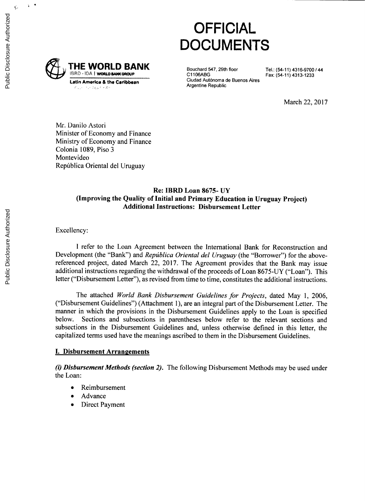

# **OFFICIAL DOCUMENTS**

Ciudad Aut6noma de Buenos Aires Argentine Republic

: A **WORLDBANKGROUP C1106ABG** Fax: (54-11) **4313-1233**

March 22, **2017**

Mr. Danilo Astori Minister of Economy and Finance Ministry of Economy and Finance Colonia **1089,** Piso **3** Montevideo República Oriental del Uruguay

# **Re: IBRD Loan 8675- UY (Improving the Quality of Initial and Primary Education in Uruguay Project) Additional Instructions: Disbursement Letter**

Excellency:

**I** refer to the Loan Agreement between the International Bank for Reconstruction and Development (the "Bank") and *República Oriental del Uruguay* (the "Borrower") for the abovereferenced project, dated March 22, **2017.** The Agreement provides that the Bank may issue additional instructions regarding the withdrawal of the proceeds of Loan *8675-UY* ("Loan"). This letter ("Disbursement Letter"), as revised from time to time, constitutes the additional instructions.

The attached *World Bank Disbursement Guidelines for Projects,* dated May **1, 2006,** ("Disbursement Guidelines") (Attachment **1),** are an integral part of the Disbursement Letter. The manner in which the provisions in the Disbursement Guidelines apply to the Loan is specified below. Sections and subsections in parentheses below refer to the relevant sections and subsections in the Disbursement Guidelines and, unless otherwise defined in this letter, the capitalized terms used have the meanings ascribed to them in the Disbursement Guidelines.

# **I. Disbursement Arrangements**

*(i) Disbursement Methods (section 2).* The following Disbursement Methods may be used under the Loan:

- **Reimbursement**
- **Advance**
- Direct Payment

 $\mathbf{A}$ 

÷Ù,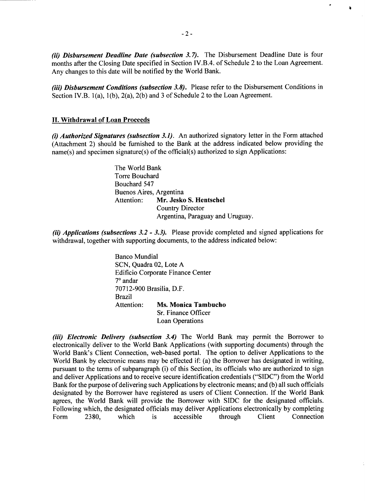*(ii) Disbursement Deadline Date (subsection 3.7).* The Disbursement Deadline Date is four months after the Closing Date specified in Section IV.B.4. of Schedule 2 to the Loan Agreement. Any changes to this date will be notified **by** the World Bank.

*(iii) Disbursement Conditions (subsection 3.8).* Please refer to the Disbursement Conditions in Section IV.B. 1(a), **1(b),** 2(a), **2(b)** and **3** of Schedule 2 to the Loan Agreement.

### **II. Withdrawal of Loan Proceeds**

*(i) Authorized Signatures (subsection 3.1).* An authorized signatory letter in the Form attached (Attachment 2) should be furnished to the Bank at the address indicated below providing the name(s) and specimen signature(s) of the official(s) authorized to sign Applications:

> The World Bank Torre Bouchard Bouchard *547* Buenos Aires, Argentina Attention: **Mr. Jesko S. Hentschel** Country Director Argentina, Paraguay and Uruguay.

*(ii) Applications (subsections 3.2* **-** *3.3).* Please provide completed and signed applications for withdrawal, together with supporting documents, to the address indicated below:

> Banco Mundial **SCN,** Quadra 02, Lote **A** Edificio Corporate Finance Center **<sup>70</sup>**andar **70712-900** Brasilia, D.F. Brazil Attention: Ms. **Monica Tambucho** Sr. Finance Officer Loan Operations

*(iii) Electronic Delivery (subsection 3.4)* The World Bank may permit the Borrower to electronically deliver to the World Bank Applications (with supporting documents) through the World Bank's Client Connection, web-based portal. The option to deliver Applications to the World Bank **by** electronic means may be effected if: (a) the Borrower has designated in writing, pursuant to the terms of subparagraph (i) of this Section, its officials who are authorized to sign and deliver Applications and to receive secure identification credentials **("SIDC")** from the World Bank for the purpose of delivering such Applications **by** electronic means; and **(b)** all such officials designated **by** the Borrower have registered as users of Client Connection. **If** the World Bank agrees, the World Bank will provide the Borrower with **SIDC** for the designated officials. Following which, the designated officials may deliver Applications electronically **by** completing Form **2380,** which is accessible through Client Connection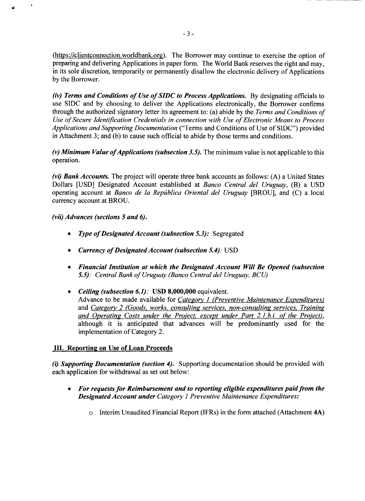(https://clientconnection.worldbank.org). The Borrower may continue to exercise the option of preparing and delivering Applications in paper form. The World Bank reserves the right and may, in its sole discretion, temporar

*(iv) Terms and Conditions of Use of SIDC to Process Applications.* **By** designating officials to use **SIDC** and **by** choosing to deliver the Applications electronically, the Borrower confirms through the authorized signatory letter its agreement to: (a) abide by the Terms and Conditions of<br>Use of Secure Identification Credentials in connection with Use of Electronic Means to Process *Applications and Supporting Documentation* ("Terms and Conditions of Use of **SIDC")** provided in Attachment **3;** and **(b)** to cause such official to abide **by** those terms and conditions.

(v) Minimum Value of Applications (subsection 3.5). The minimum value is not applicable to this operation.

*(vi) Bank Accounts.* The project will operate three bank accounts as follows: **(A)** a United States Dollars **[USD]** Designated Account established at *Banco Central del Uruguay,* (B) a **USD** operating account at *Banco de la Repuiblica Oriental del Uruguay* [BROU], and **(C)** a local currency account at BROU.

*(vii) Advances (sections 5 and 6).*

- *\* Type ofDesignated Account (subsection 5.3):* Segregated
- *\* Currency of Designated Account (subsection 5.4):* **USD**
- *\* Financial Institution at which the Designated Account Will Be Opened (subsection 5.5): Central Bank of Uruguay (Banco Central del Uruguay, BCU)*
- *\* Ceiling (subsection 6.1):* **USD 8,000,000 equivalent.** Advance to be made available for *Category 1 (Preventive Maintenance Expenditures)*<br>and *Category 2 (Goods, works, consulting services, non-consulting services, Training*<br>and *Operating Costs under the Project, except unde* implementation of Category 2.

## **III. Reporting on Use of Loan Proceeds**

*(i) Supporting Documentation (section 4).* Supporting documentation should be provided with each application for withdrawal as set out below:

- *\* For requests for Reimbursement and to reporting eligible expenditures paid from the Designated Account under Category 1 Preventive Maintenance Expenditures:*
	- <sup>o</sup>Interim Unaudited Financial Report (IFRs) in the form attached (Attachment **4A)**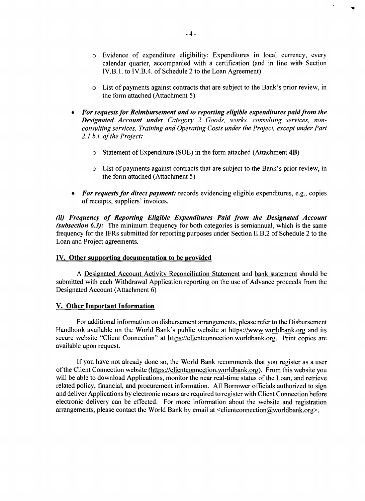- $\circ$  Evidence of expenditure eligibility: Expenditures in local currency, every calendar quarter, accompanied with a certification (and in line with Section IV.B.1. to IV.B.4. of Schedule 2 to the Loan Agreement)
- List of payments against contracts that are subject to the Bank's prior review, in the form attached (Attachment *5)*
- *\* For requests for Reimbursement and to reporting eligible expenditures paid from the Designated Account under Category 2 Goods, works, consulting services, nonconsulting services, Training and Operating Costs under the Project, except under Part 2.1. b. i. of the Project:*
	- 0 Statement of Expenditure **(SOE)** in the form attached (Attachment **4B)**
	- o List of payments against contracts that are subject to the Bank's prior review, in the form attached (Attachment *5)*
- *For requests for direct payment:* records evidencing eligible expenditures, e.g., copies of receipts, suppliers' invoices.

*(ii) Frequency of Reporting Eligible Expenditures Paid from the Designated Account (subsection 6.3):* The minimum frequency for both categories is semiannual, which is the same frequency for the IFRs submitted for reporting purposes under Section II.B.2 of Schedule 2 to the Loan and Project agreements.

#### **IV.** Other supporting documentation to be provided

**A** Designated Account Activity Reconciliation Statement and bank statement should be submitted with each Withdrawal Application reporting on the use of Advance proceeds from the Designated Account (Attachment **6)**

#### V. Other Important **Information**

For additional information on disbursement arrangements, please refer to the Disbursement Handbook available on the World Bank's public website at https://www.worldbank.org and its secure website "Client Connection" at https://clientconnection.worldbank.org. Print copies are available upon request.

**If** you have not already done so, the World Bank recommends that you register as a user of the Client Connection website (https://clientconnection.worldbank.org). From this website you will be able to download Applications, monitor the near real-time status of the Loan, and retrieve related policy, financial, and procurement information. **All** Borrower officials authorized to sign and deliver Applications **by** electronic means are required to register with Client Connection before electronic delivery can be effected. For more information about the website and registration arrangements, please contact the World Bank **by** email at <clientconnection@worldbank.org>.